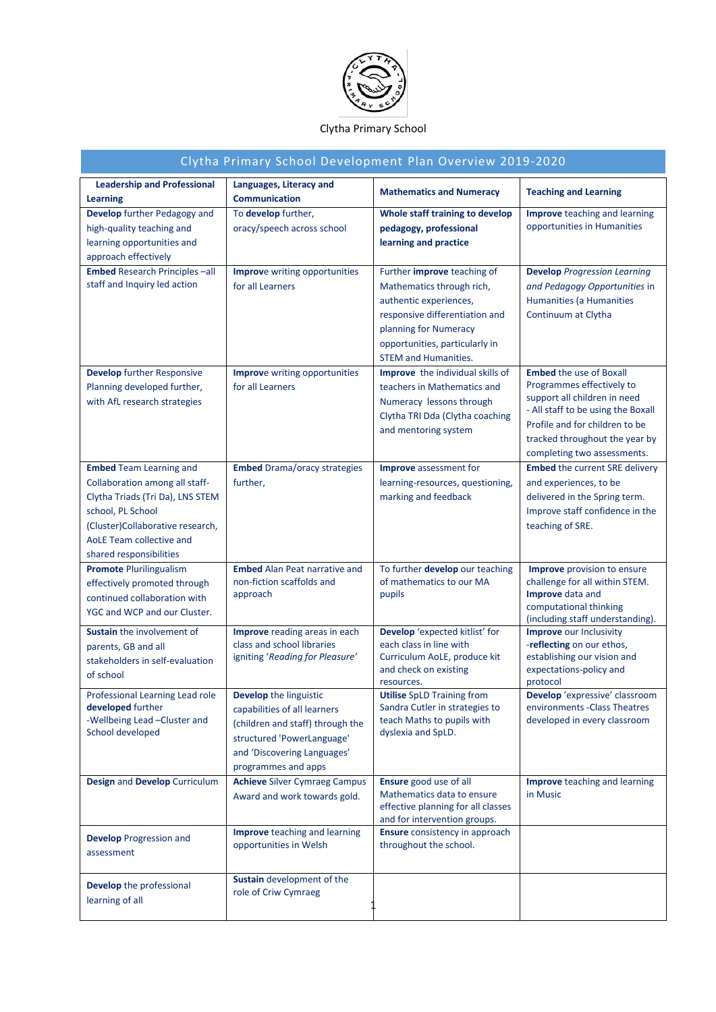

## Clytha Primary School

| Clytha Primary School Development Plan Overview 2019-2020 |                                      |                                                         |                                                               |  |  |  |
|-----------------------------------------------------------|--------------------------------------|---------------------------------------------------------|---------------------------------------------------------------|--|--|--|
| <b>Leadership and Professional</b>                        | Languages, Literacy and              | <b>Mathematics and Numeracy</b>                         | <b>Teaching and Learning</b>                                  |  |  |  |
| <b>Learning</b>                                           | <b>Communication</b>                 |                                                         |                                                               |  |  |  |
| Develop further Pedagogy and                              | To develop further,                  | Whole staff training to develop                         | Improve teaching and learning                                 |  |  |  |
| high-quality teaching and                                 | oracy/speech across school           | pedagogy, professional                                  | opportunities in Humanities                                   |  |  |  |
| learning opportunities and                                |                                      | learning and practice                                   |                                                               |  |  |  |
| approach effectively                                      |                                      |                                                         |                                                               |  |  |  |
| <b>Embed Research Principles-all</b>                      | <b>Improve writing opportunities</b> | Further improve teaching of                             | <b>Develop</b> Progression Learning                           |  |  |  |
| staff and Inquiry led action                              | for all Learners                     | Mathematics through rich,                               | and Pedagogy Opportunities in                                 |  |  |  |
|                                                           |                                      | authentic experiences,                                  | Humanities (a Humanities                                      |  |  |  |
|                                                           |                                      | responsive differentiation and<br>planning for Numeracy | Continuum at Clytha                                           |  |  |  |
|                                                           |                                      | opportunities, particularly in                          |                                                               |  |  |  |
|                                                           |                                      | <b>STEM and Humanities.</b>                             |                                                               |  |  |  |
| <b>Develop</b> further Responsive                         | Improve writing opportunities        | Improve the individual skills of                        | <b>Embed</b> the use of Boxall                                |  |  |  |
| Planning developed further,                               | for all Learners                     | teachers in Mathematics and                             | Programmes effectively to                                     |  |  |  |
| with AfL research strategies                              |                                      | Numeracy lessons through                                | support all children in need                                  |  |  |  |
|                                                           |                                      | Clytha TRI Dda (Clytha coaching                         | - All staff to be using the Boxall                            |  |  |  |
|                                                           |                                      | and mentoring system                                    | Profile and for children to be                                |  |  |  |
|                                                           |                                      |                                                         | tracked throughout the year by<br>completing two assessments. |  |  |  |
| <b>Embed Team Learning and</b>                            | <b>Embed</b> Drama/oracy strategies  | <b>Improve</b> assessment for                           | <b>Embed</b> the current SRE delivery                         |  |  |  |
| Collaboration among all staff-                            | further,                             | learning-resources, questioning,                        | and experiences, to be                                        |  |  |  |
| Clytha Triads (Tri Da), LNS STEM                          |                                      | marking and feedback                                    | delivered in the Spring term.                                 |  |  |  |
| school, PL School                                         |                                      |                                                         | Improve staff confidence in the                               |  |  |  |
| (Cluster)Collaborative research,                          |                                      |                                                         | teaching of SRE.                                              |  |  |  |
| AoLE Team collective and                                  |                                      |                                                         |                                                               |  |  |  |
| shared responsibilities                                   |                                      |                                                         |                                                               |  |  |  |
| <b>Promote Plurilingualism</b>                            | <b>Embed</b> Alan Peat narrative and | To further develop our teaching                         | <b>Improve</b> provision to ensure                            |  |  |  |
| effectively promoted through                              | non-fiction scaffolds and            | of mathematics to our MA                                | challenge for all within STEM.                                |  |  |  |
| continued collaboration with                              | approach                             | pupils                                                  | Improve data and<br>computational thinking                    |  |  |  |
| YGC and WCP and our Cluster.                              |                                      |                                                         | (including staff understanding).                              |  |  |  |
| Sustain the involvement of                                | Improve reading areas in each        | Develop 'expected kitlist' for                          | <b>Improve</b> our Inclusivity                                |  |  |  |
| parents, GB and all                                       | class and school libraries           | each class in line with                                 | -reflecting on our ethos,                                     |  |  |  |
| stakeholders in self-evaluation                           | igniting 'Reading for Pleasure'      | Curriculum AoLE, produce kit<br>and check on existing   | establishing our vision and<br>expectations-policy and        |  |  |  |
| of school                                                 |                                      | resources.                                              | protocol                                                      |  |  |  |
| Professional Learning Lead role                           | Develop the linguistic               | <b>Utilise</b> SpLD Training from                       | Develop 'expressive' classroom                                |  |  |  |
| developed further                                         | capabilities of all learners         | Sandra Cutler in strategies to                          | environments - Class Theatres                                 |  |  |  |
| -Wellbeing Lead -Cluster and<br>School developed          | (children and staff) through the     | teach Maths to pupils with<br>dyslexia and SpLD.        | developed in every classroom                                  |  |  |  |
|                                                           | structured 'PowerLanguage'           |                                                         |                                                               |  |  |  |
|                                                           | and 'Discovering Languages'          |                                                         |                                                               |  |  |  |
|                                                           | programmes and apps                  |                                                         |                                                               |  |  |  |
| Design and Develop Curriculum                             | <b>Achieve Silver Cymraeg Campus</b> | Ensure good use of all<br>Mathematics data to ensure    | Improve teaching and learning<br>in Music                     |  |  |  |
|                                                           | Award and work towards gold.         | effective planning for all classes                      |                                                               |  |  |  |
|                                                           |                                      | and for intervention groups.                            |                                                               |  |  |  |
| <b>Develop</b> Progression and                            | <b>Improve</b> teaching and learning | Ensure consistency in approach                          |                                                               |  |  |  |
| assessment                                                | opportunities in Welsh               | throughout the school.                                  |                                                               |  |  |  |
|                                                           |                                      |                                                         |                                                               |  |  |  |
| Develop the professional                                  | Sustain development of the           |                                                         |                                                               |  |  |  |
| learning of all                                           | role of Criw Cymraeg                 |                                                         |                                                               |  |  |  |
|                                                           |                                      |                                                         |                                                               |  |  |  |